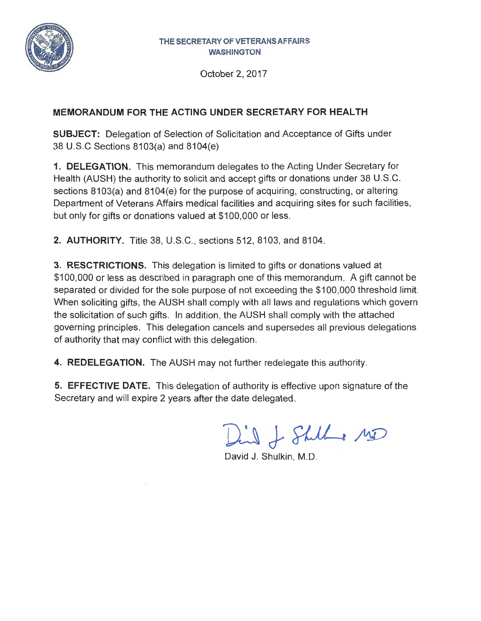

October 2, 2017

## **MEMORANDUM FOR THE ACTING UNDER SECRETARY FOR HEAL TH**

**SUBJECT:** Delegation of Selection of Solicitation and Acceptance of Gifts under 38 U.S.C Sections 8103(a) and 8104(e)

**1. DELEGATION.** This memorandum delegates to the Acting Under Secretary for Health (AUSH) the authority to solicit and accept gifts or donations under 38 U.S.C. sections 8103(a) and 8104(e) for the purpose of acquiring, constructing, or altering Department of Veterans Affairs medical facilities and acquiring sites for such facilities, but only for gifts or donations valued at \$100,000 or less.

**2. AUTHORITY.** Title 38, U.S.C., sections 512, 8103, and 8104.

**3. RESCTRICTIONS.** This delegation is limited to gifts or donations valued at \$100,000 or less as described in paragraph one of this memorandum. A gift cannot be separated or divided for the sole purpose of not exceeding the \$100,000 threshold limit. When soliciting gifts, the AUSH shall comply with all laws and regulations which govern the solicitation of such gifts. In addition, the AUSH shall comply with the attached governing principles. This delegation cancels and supersedes all previous delegations of authority that may conflict with this delegation.

**4. REDELEGATION.** The AUSH may not further redelegate this authority.

**5. EFFECTIVE DATE.** This delegation of authority is effective upon signature of the Secretary and will expire 2 years after the date delegated.

Did of Shill es 150

David J. Shulkin, M.D.